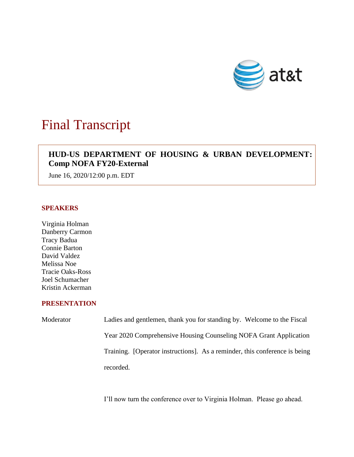

# Final Transcript

# **HUD-US DEPARTMENT OF HOUSING & URBAN DEVELOPMENT: Comp NOFA FY20-External**

June 16, 2020/12:00 p.m. EDT

## **SPEAKERS**

Virginia Holman Danberry Carmon Tracy Badua Connie Barton David Valdez Melissa Noe Tracie Oaks-Ross Joel Schumacher Kristin Ackerman

### **PRESENTATION**

| Moderator | Ladies and gentlemen, thank you for standing by. Welcome to the Fiscal     |
|-----------|----------------------------------------------------------------------------|
|           | Year 2020 Comprehensive Housing Counseling NOFA Grant Application          |
|           | Training. [Operator instructions]. As a reminder, this conference is being |
|           | recorded.                                                                  |

I'll now turn the conference over to Virginia Holman. Please go ahead.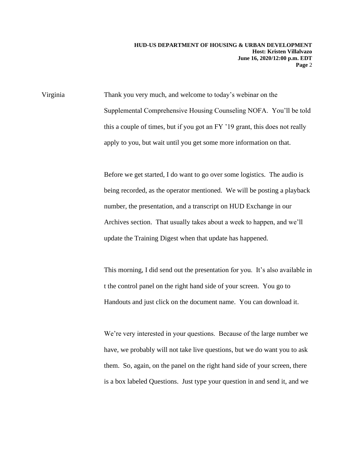Virginia Thank you very much, and welcome to today's webinar on the Supplemental Comprehensive Housing Counseling NOFA. You'll be told this a couple of times, but if you got an FY '19 grant, this does not really apply to you, but wait until you get some more information on that.

> Before we get started, I do want to go over some logistics. The audio is being recorded, as the operator mentioned. We will be posting a playback number, the presentation, and a transcript on HUD Exchange in our Archives section. That usually takes about a week to happen, and we'll update the Training Digest when that update has happened.

> This morning, I did send out the presentation for you. It's also available in t the control panel on the right hand side of your screen. You go to Handouts and just click on the document name. You can download it.

We're very interested in your questions. Because of the large number we have, we probably will not take live questions, but we do want you to ask them. So, again, on the panel on the right hand side of your screen, there is a box labeled Questions. Just type your question in and send it, and we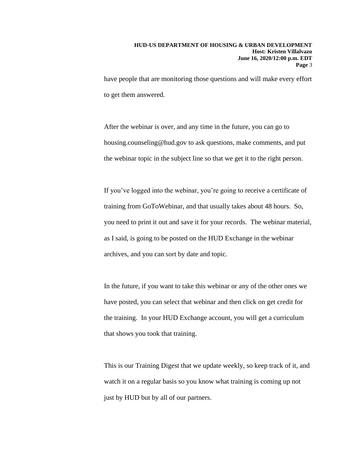have people that are monitoring those questions and will make every effort to get them answered.

After the webinar is over, and any time in the future, you can go to housing.counseling@hud.gov to ask questions, make comments, and put the webinar topic in the subject line so that we get it to the right person.

If you've logged into the webinar, you're going to receive a certificate of training from GoToWebinar, and that usually takes about 48 hours. So, you need to print it out and save it for your records. The webinar material, as I said, is going to be posted on the HUD Exchange in the webinar archives, and you can sort by date and topic.

In the future, if you want to take this webinar or any of the other ones we have posted, you can select that webinar and then click on get credit for the training. In your HUD Exchange account, you will get a curriculum that shows you took that training.

This is our Training Digest that we update weekly, so keep track of it, and watch it on a regular basis so you know what training is coming up not just by HUD but by all of our partners.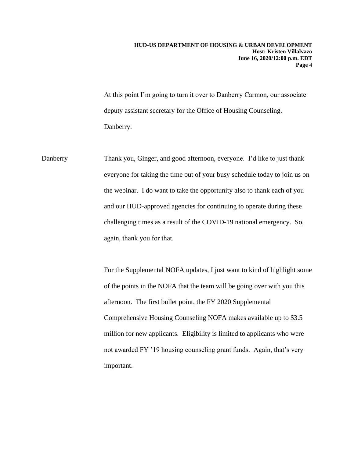At this point I'm going to turn it over to Danberry Carmon, our associate deputy assistant secretary for the Office of Housing Counseling. Danberry.

Danberry Thank you, Ginger, and good afternoon, everyone. I'd like to just thank everyone for taking the time out of your busy schedule today to join us on the webinar. I do want to take the opportunity also to thank each of you and our HUD-approved agencies for continuing to operate during these challenging times as a result of the COVID-19 national emergency. So, again, thank you for that.

> For the Supplemental NOFA updates, I just want to kind of highlight some of the points in the NOFA that the team will be going over with you this afternoon. The first bullet point, the FY 2020 Supplemental Comprehensive Housing Counseling NOFA makes available up to \$3.5 million for new applicants. Eligibility is limited to applicants who were not awarded FY '19 housing counseling grant funds. Again, that's very important.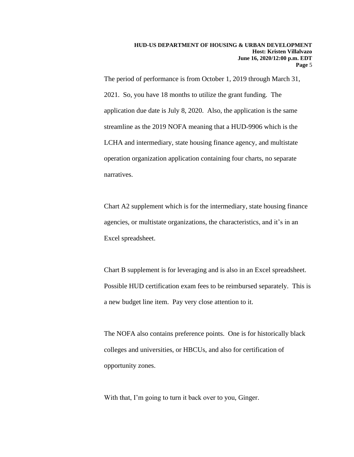The period of performance is from October 1, 2019 through March 31, 2021. So, you have 18 months to utilize the grant funding. The application due date is July 8, 2020. Also, the application is the same streamline as the 2019 NOFA meaning that a HUD-9906 which is the LCHA and intermediary, state housing finance agency, and multistate operation organization application containing four charts, no separate narratives.

Chart A2 supplement which is for the intermediary, state housing finance agencies, or multistate organizations, the characteristics, and it's in an Excel spreadsheet.

Chart B supplement is for leveraging and is also in an Excel spreadsheet. Possible HUD certification exam fees to be reimbursed separately. This is a new budget line item. Pay very close attention to it.

The NOFA also contains preference points. One is for historically black colleges and universities, or HBCUs, and also for certification of opportunity zones.

With that, I'm going to turn it back over to you, Ginger.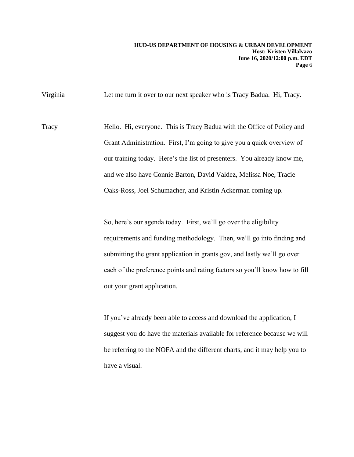Virginia Let me turn it over to our next speaker who is Tracy Badua. Hi, Tracy.

Tracy Hello. Hi, everyone. This is Tracy Badua with the Office of Policy and Grant Administration. First, I'm going to give you a quick overview of our training today. Here's the list of presenters. You already know me, and we also have Connie Barton, David Valdez, Melissa Noe, Tracie Oaks-Ross, Joel Schumacher, and Kristin Ackerman coming up.

> So, here's our agenda today. First, we'll go over the eligibility requirements and funding methodology. Then, we'll go into finding and submitting the grant application in grants.gov, and lastly we'll go over each of the preference points and rating factors so you'll know how to fill out your grant application.

> If you've already been able to access and download the application, I suggest you do have the materials available for reference because we will be referring to the NOFA and the different charts, and it may help you to have a visual.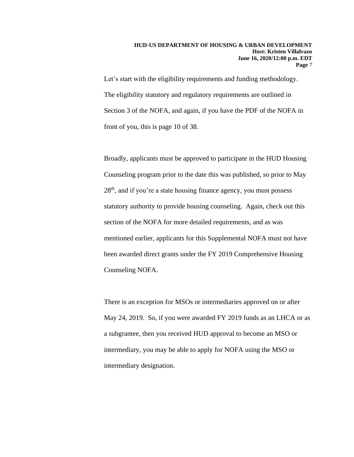Let's start with the eligibility requirements and funding methodology. The eligibility statutory and regulatory requirements are outlined in Section 3 of the NOFA, and again, if you have the PDF of the NOFA in front of you, this is page 10 of 38.

Broadly, applicants must be approved to participate in the HUD Housing Counseling program prior to the date this was published, so prior to May 28<sup>th</sup>, and if you're a state housing finance agency, you must possess statutory authority to provide housing counseling. Again, check out this section of the NOFA for more detailed requirements, and as was mentioned earlier, applicants for this Supplemental NOFA must not have been awarded direct grants under the FY 2019 Comprehensive Housing Counseling NOFA.

There is an exception for MSOs or intermediaries approved on or after May 24, 2019. So, if you were awarded FY 2019 funds as an LHCA or as a subgrantee, then you received HUD approval to become an MSO or intermediary, you may be able to apply for NOFA using the MSO or intermediary designation.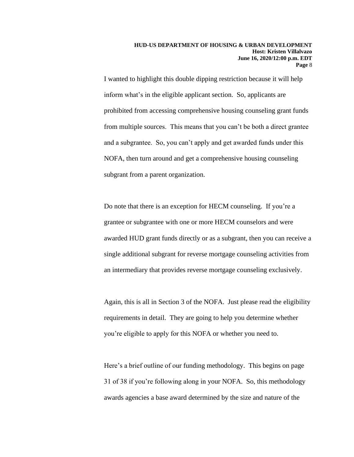I wanted to highlight this double dipping restriction because it will help inform what's in the eligible applicant section. So, applicants are prohibited from accessing comprehensive housing counseling grant funds from multiple sources. This means that you can't be both a direct grantee and a subgrantee. So, you can't apply and get awarded funds under this NOFA, then turn around and get a comprehensive housing counseling subgrant from a parent organization.

Do note that there is an exception for HECM counseling. If you're a grantee or subgrantee with one or more HECM counselors and were awarded HUD grant funds directly or as a subgrant, then you can receive a single additional subgrant for reverse mortgage counseling activities from an intermediary that provides reverse mortgage counseling exclusively.

Again, this is all in Section 3 of the NOFA. Just please read the eligibility requirements in detail. They are going to help you determine whether you're eligible to apply for this NOFA or whether you need to.

Here's a brief outline of our funding methodology. This begins on page 31 of 38 if you're following along in your NOFA. So, this methodology awards agencies a base award determined by the size and nature of the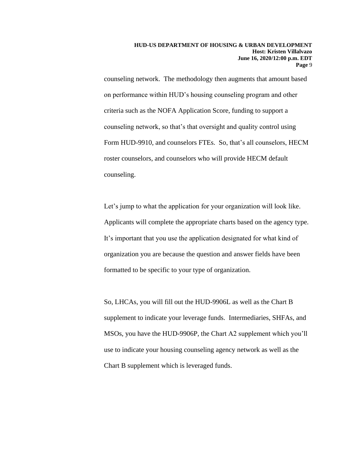counseling network. The methodology then augments that amount based on performance within HUD's housing counseling program and other criteria such as the NOFA Application Score, funding to support a counseling network, so that's that oversight and quality control using Form HUD-9910, and counselors FTEs. So, that's all counselors, HECM roster counselors, and counselors who will provide HECM default counseling.

Let's jump to what the application for your organization will look like. Applicants will complete the appropriate charts based on the agency type. It's important that you use the application designated for what kind of organization you are because the question and answer fields have been formatted to be specific to your type of organization.

So, LHCAs, you will fill out the HUD-9906L as well as the Chart B supplement to indicate your leverage funds. Intermediaries, SHFAs, and MSOs, you have the HUD-9906P, the Chart A2 supplement which you'll use to indicate your housing counseling agency network as well as the Chart B supplement which is leveraged funds.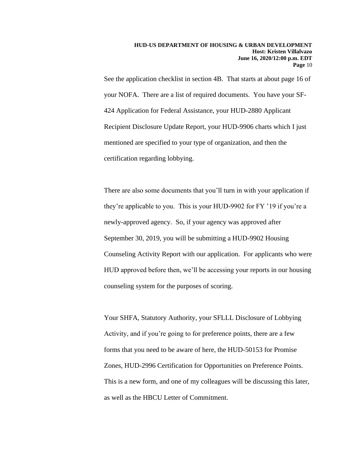See the application checklist in section 4B. That starts at about page 16 of your NOFA. There are a list of required documents. You have your SF-424 Application for Federal Assistance, your HUD-2880 Applicant Recipient Disclosure Update Report, your HUD-9906 charts which I just mentioned are specified to your type of organization, and then the certification regarding lobbying.

There are also some documents that you'll turn in with your application if they're applicable to you. This is your HUD-9902 for FY '19 if you're a newly-approved agency. So, if your agency was approved after September 30, 2019, you will be submitting a HUD-9902 Housing Counseling Activity Report with our application. For applicants who were HUD approved before then, we'll be accessing your reports in our housing counseling system for the purposes of scoring.

Your SHFA, Statutory Authority, your SFLLL Disclosure of Lobbying Activity, and if you're going to for preference points, there are a few forms that you need to be aware of here, the HUD-50153 for Promise Zones, HUD-2996 Certification for Opportunities on Preference Points. This is a new form, and one of my colleagues will be discussing this later, as well as the HBCU Letter of Commitment.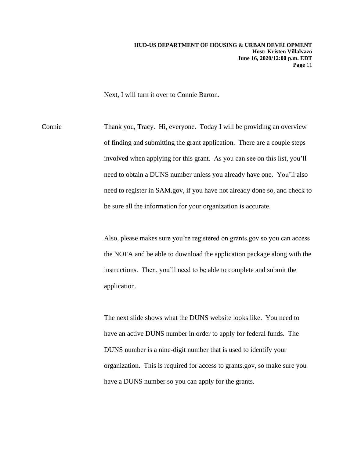Next, I will turn it over to Connie Barton.

Connie Thank you, Tracy. Hi, everyone. Today I will be providing an overview of finding and submitting the grant application. There are a couple steps involved when applying for this grant. As you can see on this list, you'll need to obtain a DUNS number unless you already have one. You'll also need to register in SAM.gov, if you have not already done so, and check to be sure all the information for your organization is accurate.

> Also, please makes sure you're registered on grants.gov so you can access the NOFA and be able to download the application package along with the instructions. Then, you'll need to be able to complete and submit the application.

The next slide shows what the DUNS website looks like. You need to have an active DUNS number in order to apply for federal funds. The DUNS number is a nine-digit number that is used to identify your organization. This is required for access to grants.gov, so make sure you have a DUNS number so you can apply for the grants.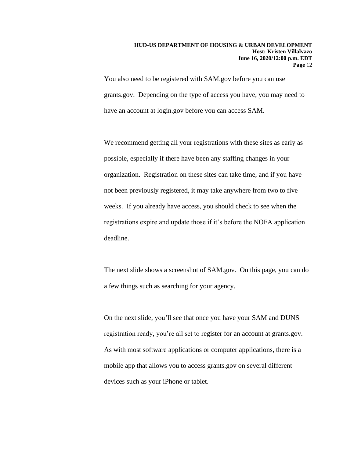You also need to be registered with SAM.gov before you can use grants.gov. Depending on the type of access you have, you may need to have an account at login.gov before you can access SAM.

We recommend getting all your registrations with these sites as early as possible, especially if there have been any staffing changes in your organization. Registration on these sites can take time, and if you have not been previously registered, it may take anywhere from two to five weeks. If you already have access, you should check to see when the registrations expire and update those if it's before the NOFA application deadline.

The next slide shows a screenshot of SAM.gov. On this page, you can do a few things such as searching for your agency.

On the next slide, you'll see that once you have your SAM and DUNS registration ready, you're all set to register for an account at grants.gov. As with most software applications or computer applications, there is a mobile app that allows you to access grants.gov on several different devices such as your iPhone or tablet.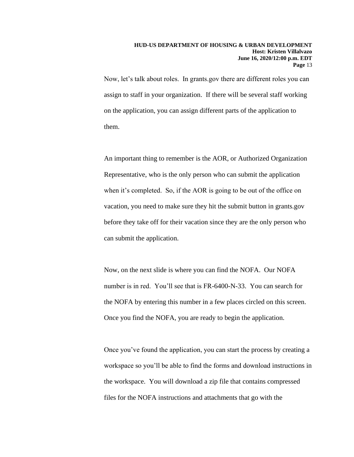Now, let's talk about roles. In grants.gov there are different roles you can assign to staff in your organization. If there will be several staff working on the application, you can assign different parts of the application to them.

An important thing to remember is the AOR, or Authorized Organization Representative, who is the only person who can submit the application when it's completed. So, if the AOR is going to be out of the office on vacation, you need to make sure they hit the submit button in grants.gov before they take off for their vacation since they are the only person who can submit the application.

Now, on the next slide is where you can find the NOFA. Our NOFA number is in red. You'll see that is FR-6400-N-33. You can search for the NOFA by entering this number in a few places circled on this screen. Once you find the NOFA, you are ready to begin the application.

Once you've found the application, you can start the process by creating a workspace so you'll be able to find the forms and download instructions in the workspace. You will download a zip file that contains compressed files for the NOFA instructions and attachments that go with the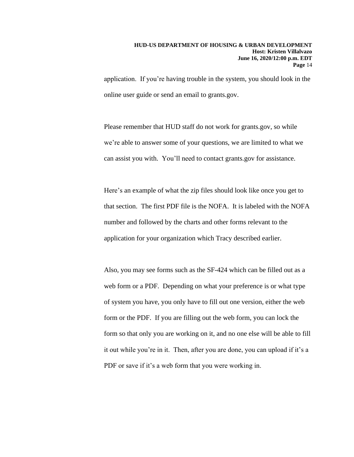application. If you're having trouble in the system, you should look in the online user guide or send an email to grants.gov.

Please remember that HUD staff do not work for grants.gov, so while we're able to answer some of your questions, we are limited to what we can assist you with. You'll need to contact grants.gov for assistance.

Here's an example of what the zip files should look like once you get to that section. The first PDF file is the NOFA. It is labeled with the NOFA number and followed by the charts and other forms relevant to the application for your organization which Tracy described earlier.

Also, you may see forms such as the SF-424 which can be filled out as a web form or a PDF. Depending on what your preference is or what type of system you have, you only have to fill out one version, either the web form or the PDF. If you are filling out the web form, you can lock the form so that only you are working on it, and no one else will be able to fill it out while you're in it. Then, after you are done, you can upload if it's a PDF or save if it's a web form that you were working in.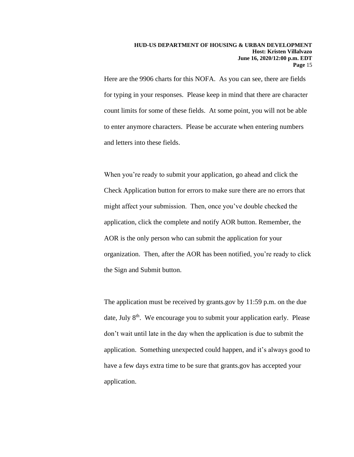Here are the 9906 charts for this NOFA. As you can see, there are fields for typing in your responses. Please keep in mind that there are character count limits for some of these fields. At some point, you will not be able to enter anymore characters. Please be accurate when entering numbers and letters into these fields.

When you're ready to submit your application, go ahead and click the Check Application button for errors to make sure there are no errors that might affect your submission. Then, once you've double checked the application, click the complete and notify AOR button. Remember, the AOR is the only person who can submit the application for your organization. Then, after the AOR has been notified, you're ready to click the Sign and Submit button.

The application must be received by grants.gov by 11:59 p.m. on the due date, July 8<sup>th</sup>. We encourage you to submit your application early. Please don't wait until late in the day when the application is due to submit the application. Something unexpected could happen, and it's always good to have a few days extra time to be sure that grants.gov has accepted your application.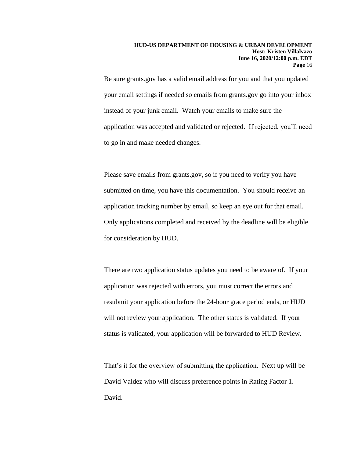Be sure grants.gov has a valid email address for you and that you updated your email settings if needed so emails from grants.gov go into your inbox instead of your junk email. Watch your emails to make sure the application was accepted and validated or rejected. If rejected, you'll need to go in and make needed changes.

Please save emails from grants.gov, so if you need to verify you have submitted on time, you have this documentation. You should receive an application tracking number by email, so keep an eye out for that email. Only applications completed and received by the deadline will be eligible for consideration by HUD.

There are two application status updates you need to be aware of. If your application was rejected with errors, you must correct the errors and resubmit your application before the 24-hour grace period ends, or HUD will not review your application. The other status is validated. If your status is validated, your application will be forwarded to HUD Review.

That's it for the overview of submitting the application. Next up will be David Valdez who will discuss preference points in Rating Factor 1. David.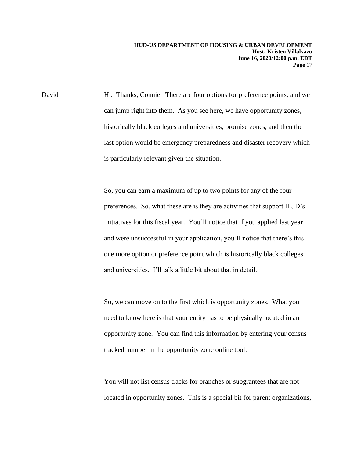David Hi. Thanks, Connie. There are four options for preference points, and we can jump right into them. As you see here, we have opportunity zones, historically black colleges and universities, promise zones, and then the last option would be emergency preparedness and disaster recovery which is particularly relevant given the situation.

> So, you can earn a maximum of up to two points for any of the four preferences. So, what these are is they are activities that support HUD's initiatives for this fiscal year. You'll notice that if you applied last year and were unsuccessful in your application, you'll notice that there's this one more option or preference point which is historically black colleges and universities. I'll talk a little bit about that in detail.

> So, we can move on to the first which is opportunity zones. What you need to know here is that your entity has to be physically located in an opportunity zone. You can find this information by entering your census tracked number in the opportunity zone online tool.

You will not list census tracks for branches or subgrantees that are not located in opportunity zones. This is a special bit for parent organizations,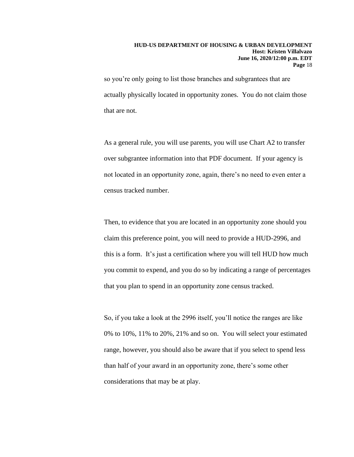so you're only going to list those branches and subgrantees that are actually physically located in opportunity zones. You do not claim those that are not.

As a general rule, you will use parents, you will use Chart A2 to transfer over subgrantee information into that PDF document. If your agency is not located in an opportunity zone, again, there's no need to even enter a census tracked number.

Then, to evidence that you are located in an opportunity zone should you claim this preference point, you will need to provide a HUD-2996, and this is a form. It's just a certification where you will tell HUD how much you commit to expend, and you do so by indicating a range of percentages that you plan to spend in an opportunity zone census tracked.

So, if you take a look at the 2996 itself, you'll notice the ranges are like 0% to 10%, 11% to 20%, 21% and so on. You will select your estimated range, however, you should also be aware that if you select to spend less than half of your award in an opportunity zone, there's some other considerations that may be at play.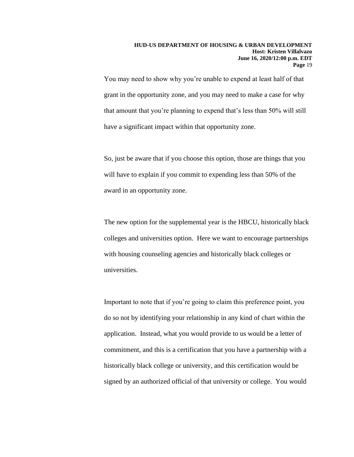You may need to show why you're unable to expend at least half of that grant in the opportunity zone, and you may need to make a case for why that amount that you're planning to expend that's less than 50% will still have a significant impact within that opportunity zone.

So, just be aware that if you choose this option, those are things that you will have to explain if you commit to expending less than 50% of the award in an opportunity zone.

The new option for the supplemental year is the HBCU, historically black colleges and universities option. Here we want to encourage partnerships with housing counseling agencies and historically black colleges or universities.

Important to note that if you're going to claim this preference point, you do so not by identifying your relationship in any kind of chart within the application. Instead, what you would provide to us would be a letter of commitment, and this is a certification that you have a partnership with a historically black college or university, and this certification would be signed by an authorized official of that university or college. You would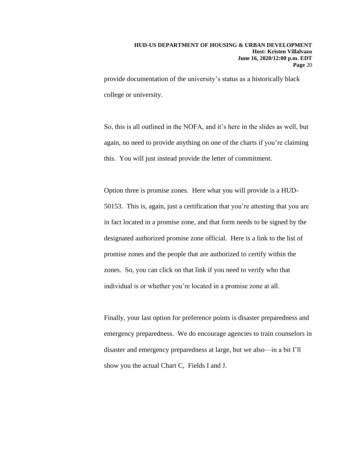provide documentation of the university's status as a historically black college or university.

So, this is all outlined in the NOFA, and it's here in the slides as well, but again, no need to provide anything on one of the charts if you're claiming this. You will just instead provide the letter of commitment.

Option three is promise zones. Here what you will provide is a HUD-50153. This is, again, just a certification that you're attesting that you are in fact located in a promise zone, and that form needs to be signed by the designated authorized promise zone official. Here is a link to the list of promise zones and the people that are authorized to certify within the zones. So, you can click on that link if you need to verify who that individual is or whether you're located in a promise zone at all.

Finally, your last option for preference points is disaster preparedness and emergency preparedness. We do encourage agencies to train counselors in disaster and emergency preparedness at large, but we also—in a bit I'll show you the actual Chart C, Fields I and J.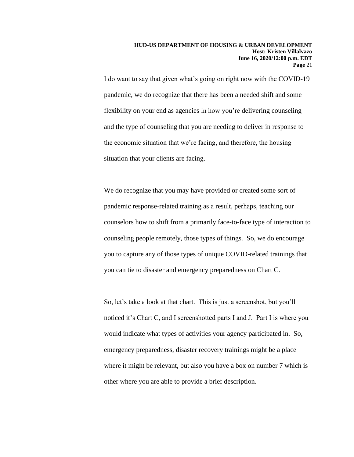I do want to say that given what's going on right now with the COVID-19 pandemic, we do recognize that there has been a needed shift and some flexibility on your end as agencies in how you're delivering counseling and the type of counseling that you are needing to deliver in response to the economic situation that we're facing, and therefore, the housing situation that your clients are facing.

We do recognize that you may have provided or created some sort of pandemic response-related training as a result, perhaps, teaching our counselors how to shift from a primarily face-to-face type of interaction to counseling people remotely, those types of things. So, we do encourage you to capture any of those types of unique COVID-related trainings that you can tie to disaster and emergency preparedness on Chart C.

So, let's take a look at that chart. This is just a screenshot, but you'll noticed it's Chart C, and I screenshotted parts I and J. Part I is where you would indicate what types of activities your agency participated in. So, emergency preparedness, disaster recovery trainings might be a place where it might be relevant, but also you have a box on number 7 which is other where you are able to provide a brief description.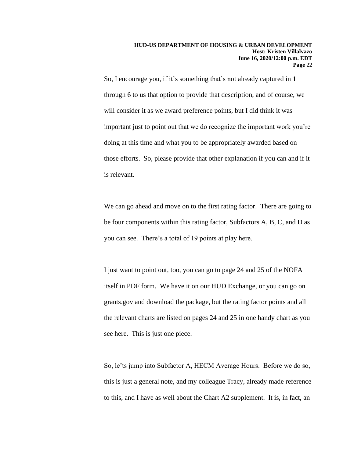So, I encourage you, if it's something that's not already captured in 1 through 6 to us that option to provide that description, and of course, we will consider it as we award preference points, but I did think it was important just to point out that we do recognize the important work you're doing at this time and what you to be appropriately awarded based on those efforts. So, please provide that other explanation if you can and if it is relevant.

We can go ahead and move on to the first rating factor. There are going to be four components within this rating factor, Subfactors A, B, C, and D as you can see. There's a total of 19 points at play here.

I just want to point out, too, you can go to page 24 and 25 of the NOFA itself in PDF form. We have it on our HUD Exchange, or you can go on grants.gov and download the package, but the rating factor points and all the relevant charts are listed on pages 24 and 25 in one handy chart as you see here. This is just one piece.

So, le'ts jump into Subfactor A, HECM Average Hours. Before we do so, this is just a general note, and my colleague Tracy, already made reference to this, and I have as well about the Chart A2 supplement. It is, in fact, an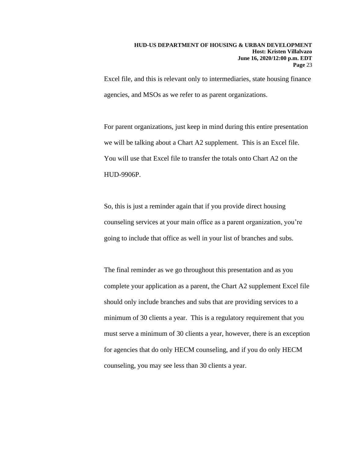Excel file, and this is relevant only to intermediaries, state housing finance agencies, and MSOs as we refer to as parent organizations.

For parent organizations, just keep in mind during this entire presentation we will be talking about a Chart A2 supplement. This is an Excel file. You will use that Excel file to transfer the totals onto Chart A2 on the HUD-9906P.

So, this is just a reminder again that if you provide direct housing counseling services at your main office as a parent organization, you're going to include that office as well in your list of branches and subs.

The final reminder as we go throughout this presentation and as you complete your application as a parent, the Chart A2 supplement Excel file should only include branches and subs that are providing services to a minimum of 30 clients a year. This is a regulatory requirement that you must serve a minimum of 30 clients a year, however, there is an exception for agencies that do only HECM counseling, and if you do only HECM counseling, you may see less than 30 clients a year.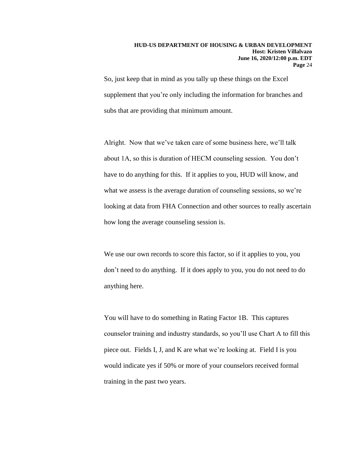So, just keep that in mind as you tally up these things on the Excel supplement that you're only including the information for branches and subs that are providing that minimum amount.

Alright. Now that we've taken care of some business here, we'll talk about 1A, so this is duration of HECM counseling session. You don't have to do anything for this. If it applies to you, HUD will know, and what we assess is the average duration of counseling sessions, so we're looking at data from FHA Connection and other sources to really ascertain how long the average counseling session is.

We use our own records to score this factor, so if it applies to you, you don't need to do anything. If it does apply to you, you do not need to do anything here.

You will have to do something in Rating Factor 1B. This captures counselor training and industry standards, so you'll use Chart A to fill this piece out. Fields I, J, and K are what we're looking at. Field I is you would indicate yes if 50% or more of your counselors received formal training in the past two years.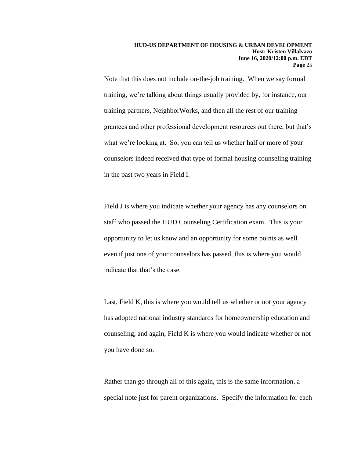Note that this does not include on-the-job training. When we say formal training, we're talking about things usually provided by, for instance, our training partners, NeighborWorks, and then all the rest of our training grantees and other professional development resources out there, but that's what we're looking at. So, you can tell us whether half or more of your counselors indeed received that type of formal housing counseling training in the past two years in Field I.

Field J is where you indicate whether your agency has any counselors on staff who passed the HUD Counseling Certification exam. This is your opportunity to let us know and an opportunity for some points as well even if just one of your counselors has passed, this is where you would indicate that that's the case.

Last, Field K, this is where you would tell us whether or not your agency has adopted national industry standards for homeownership education and counseling, and again, Field K is where you would indicate whether or not you have done so.

Rather than go through all of this again, this is the same information, a special note just for parent organizations. Specify the information for each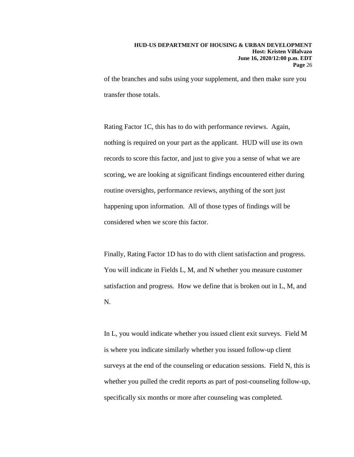of the branches and subs using your supplement, and then make sure you transfer those totals.

Rating Factor 1C, this has to do with performance reviews. Again, nothing is required on your part as the applicant. HUD will use its own records to score this factor, and just to give you a sense of what we are scoring, we are looking at significant findings encountered either during routine oversights, performance reviews, anything of the sort just happening upon information. All of those types of findings will be considered when we score this factor.

Finally, Rating Factor 1D has to do with client satisfaction and progress. You will indicate in Fields L, M, and N whether you measure customer satisfaction and progress. How we define that is broken out in L, M, and N.

In L, you would indicate whether you issued client exit surveys. Field M is where you indicate similarly whether you issued follow-up client surveys at the end of the counseling or education sessions. Field N, this is whether you pulled the credit reports as part of post-counseling follow-up, specifically six months or more after counseling was completed.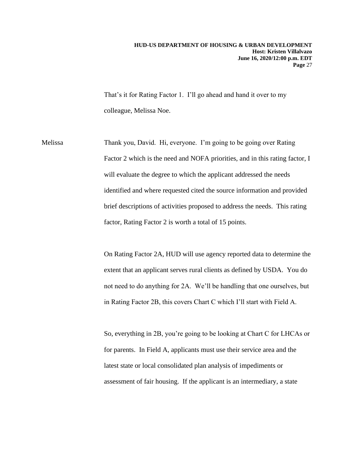That's it for Rating Factor 1. I'll go ahead and hand it over to my colleague, Melissa Noe.

Melissa Thank you, David. Hi, everyone. I'm going to be going over Rating Factor 2 which is the need and NOFA priorities, and in this rating factor, I will evaluate the degree to which the applicant addressed the needs identified and where requested cited the source information and provided brief descriptions of activities proposed to address the needs. This rating factor, Rating Factor 2 is worth a total of 15 points.

> On Rating Factor 2A, HUD will use agency reported data to determine the extent that an applicant serves rural clients as defined by USDA. You do not need to do anything for 2A. We'll be handling that one ourselves, but in Rating Factor 2B, this covers Chart C which I'll start with Field A.

> So, everything in 2B, you're going to be looking at Chart C for LHCAs or for parents. In Field A, applicants must use their service area and the latest state or local consolidated plan analysis of impediments or assessment of fair housing. If the applicant is an intermediary, a state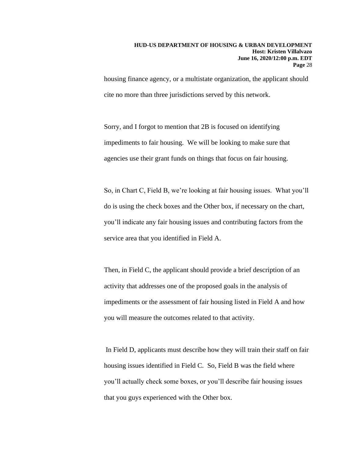housing finance agency, or a multistate organization, the applicant should cite no more than three jurisdictions served by this network.

Sorry, and I forgot to mention that 2B is focused on identifying impediments to fair housing. We will be looking to make sure that agencies use their grant funds on things that focus on fair housing.

So, in Chart C, Field B, we're looking at fair housing issues. What you'll do is using the check boxes and the Other box, if necessary on the chart, you'll indicate any fair housing issues and contributing factors from the service area that you identified in Field A.

Then, in Field C, the applicant should provide a brief description of an activity that addresses one of the proposed goals in the analysis of impediments or the assessment of fair housing listed in Field A and how you will measure the outcomes related to that activity.

In Field D, applicants must describe how they will train their staff on fair housing issues identified in Field C. So, Field B was the field where you'll actually check some boxes, or you'll describe fair housing issues that you guys experienced with the Other box.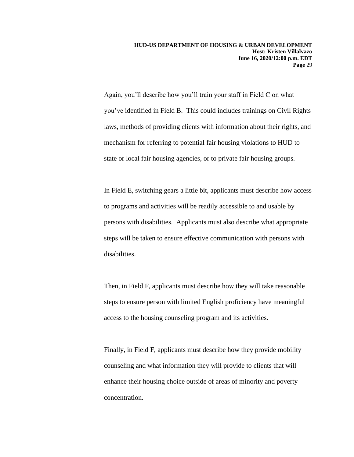Again, you'll describe how you'll train your staff in Field C on what you've identified in Field B. This could includes trainings on Civil Rights laws, methods of providing clients with information about their rights, and mechanism for referring to potential fair housing violations to HUD to state or local fair housing agencies, or to private fair housing groups.

In Field E, switching gears a little bit, applicants must describe how access to programs and activities will be readily accessible to and usable by persons with disabilities. Applicants must also describe what appropriate steps will be taken to ensure effective communication with persons with disabilities.

Then, in Field F, applicants must describe how they will take reasonable steps to ensure person with limited English proficiency have meaningful access to the housing counseling program and its activities.

Finally, in Field F, applicants must describe how they provide mobility counseling and what information they will provide to clients that will enhance their housing choice outside of areas of minority and poverty concentration.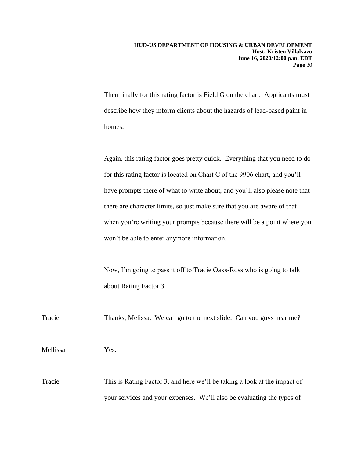Then finally for this rating factor is Field G on the chart. Applicants must describe how they inform clients about the hazards of lead-based paint in homes.

Again, this rating factor goes pretty quick. Everything that you need to do for this rating factor is located on Chart C of the 9906 chart, and you'll have prompts there of what to write about, and you'll also please note that there are character limits, so just make sure that you are aware of that when you're writing your prompts because there will be a point where you won't be able to enter anymore information.

Now, I'm going to pass it off to Tracie Oaks-Ross who is going to talk about Rating Factor 3.

Tracie Thanks, Melissa. We can go to the next slide. Can you guys hear me?

Mellissa Yes.

Tracie This is Rating Factor 3, and here we'll be taking a look at the impact of your services and your expenses. We'll also be evaluating the types of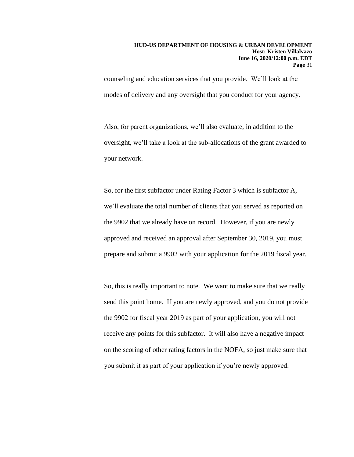counseling and education services that you provide. We'll look at the modes of delivery and any oversight that you conduct for your agency.

Also, for parent organizations, we'll also evaluate, in addition to the oversight, we'll take a look at the sub-allocations of the grant awarded to your network.

So, for the first subfactor under Rating Factor 3 which is subfactor A, we'll evaluate the total number of clients that you served as reported on the 9902 that we already have on record. However, if you are newly approved and received an approval after September 30, 2019, you must prepare and submit a 9902 with your application for the 2019 fiscal year.

So, this is really important to note. We want to make sure that we really send this point home. If you are newly approved, and you do not provide the 9902 for fiscal year 2019 as part of your application, you will not receive any points for this subfactor. It will also have a negative impact on the scoring of other rating factors in the NOFA, so just make sure that you submit it as part of your application if you're newly approved.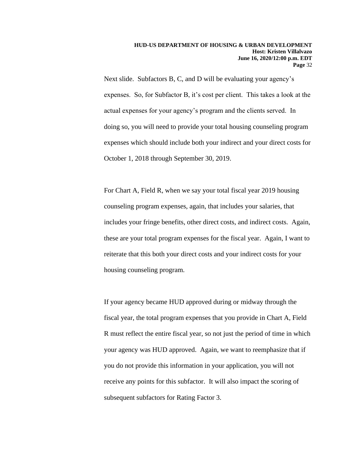Next slide. Subfactors B, C, and D will be evaluating your agency's expenses. So, for Subfactor B, it's cost per client. This takes a look at the actual expenses for your agency's program and the clients served. In doing so, you will need to provide your total housing counseling program expenses which should include both your indirect and your direct costs for October 1, 2018 through September 30, 2019.

For Chart A, Field R, when we say your total fiscal year 2019 housing counseling program expenses, again, that includes your salaries, that includes your fringe benefits, other direct costs, and indirect costs. Again, these are your total program expenses for the fiscal year. Again, I want to reiterate that this both your direct costs and your indirect costs for your housing counseling program.

If your agency became HUD approved during or midway through the fiscal year, the total program expenses that you provide in Chart A, Field R must reflect the entire fiscal year, so not just the period of time in which your agency was HUD approved. Again, we want to reemphasize that if you do not provide this information in your application, you will not receive any points for this subfactor. It will also impact the scoring of subsequent subfactors for Rating Factor 3.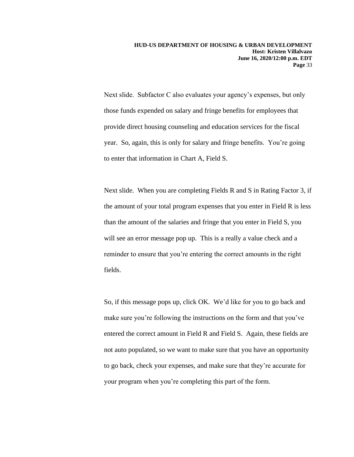Next slide. Subfactor C also evaluates your agency's expenses, but only those funds expended on salary and fringe benefits for employees that provide direct housing counseling and education services for the fiscal year. So, again, this is only for salary and fringe benefits. You're going to enter that information in Chart A, Field S.

Next slide. When you are completing Fields R and S in Rating Factor 3, if the amount of your total program expenses that you enter in Field R is less than the amount of the salaries and fringe that you enter in Field S, you will see an error message pop up. This is a really a value check and a reminder to ensure that you're entering the correct amounts in the right fields.

So, if this message pops up, click OK. We'd like for you to go back and make sure you're following the instructions on the form and that you've entered the correct amount in Field R and Field S. Again, these fields are not auto populated, so we want to make sure that you have an opportunity to go back, check your expenses, and make sure that they're accurate for your program when you're completing this part of the form.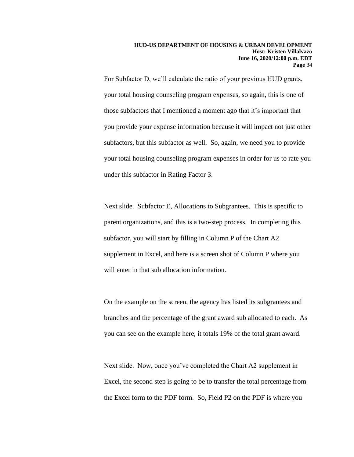For Subfactor D, we'll calculate the ratio of your previous HUD grants, your total housing counseling program expenses, so again, this is one of those subfactors that I mentioned a moment ago that it's important that you provide your expense information because it will impact not just other subfactors, but this subfactor as well. So, again, we need you to provide your total housing counseling program expenses in order for us to rate you under this subfactor in Rating Factor 3.

Next slide. Subfactor E, Allocations to Subgrantees. This is specific to parent organizations, and this is a two-step process. In completing this subfactor, you will start by filling in Column P of the Chart A2 supplement in Excel, and here is a screen shot of Column P where you will enter in that sub allocation information.

On the example on the screen, the agency has listed its subgrantees and branches and the percentage of the grant award sub allocated to each. As you can see on the example here, it totals 19% of the total grant award.

Next slide. Now, once you've completed the Chart A2 supplement in Excel, the second step is going to be to transfer the total percentage from the Excel form to the PDF form. So, Field P2 on the PDF is where you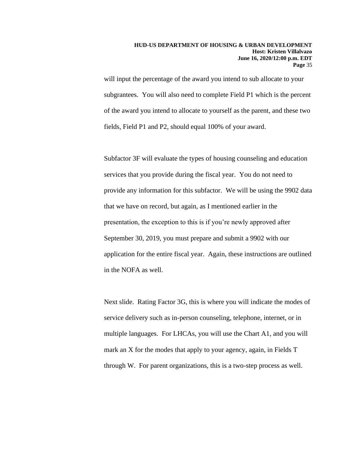will input the percentage of the award you intend to sub allocate to your subgrantees. You will also need to complete Field P1 which is the percent of the award you intend to allocate to yourself as the parent, and these two fields, Field P1 and P2, should equal 100% of your award.

Subfactor 3F will evaluate the types of housing counseling and education services that you provide during the fiscal year. You do not need to provide any information for this subfactor. We will be using the 9902 data that we have on record, but again, as I mentioned earlier in the presentation, the exception to this is if you're newly approved after September 30, 2019, you must prepare and submit a 9902 with our application for the entire fiscal year. Again, these instructions are outlined in the NOFA as well.

Next slide. Rating Factor 3G, this is where you will indicate the modes of service delivery such as in-person counseling, telephone, internet, or in multiple languages. For LHCAs, you will use the Chart A1, and you will mark an X for the modes that apply to your agency, again, in Fields T through W. For parent organizations, this is a two-step process as well.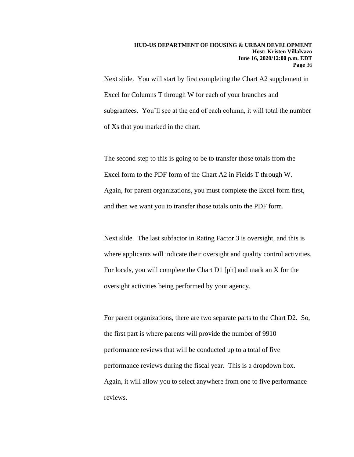Next slide. You will start by first completing the Chart A2 supplement in Excel for Columns T through W for each of your branches and subgrantees. You'll see at the end of each column, it will total the number of Xs that you marked in the chart.

The second step to this is going to be to transfer those totals from the Excel form to the PDF form of the Chart A2 in Fields T through W. Again, for parent organizations, you must complete the Excel form first, and then we want you to transfer those totals onto the PDF form.

Next slide. The last subfactor in Rating Factor 3 is oversight, and this is where applicants will indicate their oversight and quality control activities. For locals, you will complete the Chart D1 [ph] and mark an X for the oversight activities being performed by your agency.

For parent organizations, there are two separate parts to the Chart D2. So, the first part is where parents will provide the number of 9910 performance reviews that will be conducted up to a total of five performance reviews during the fiscal year. This is a dropdown box. Again, it will allow you to select anywhere from one to five performance reviews.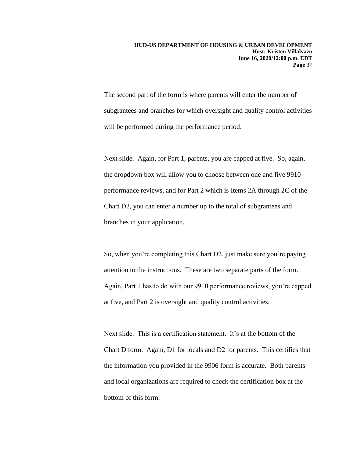The second part of the form is where parents will enter the number of subgrantees and branches for which oversight and quality control activities will be performed during the performance period.

Next slide. Again, for Part 1, parents, you are capped at five. So, again, the dropdown box will allow you to choose between one and five 9910 performance reviews, and for Part 2 which is Items 2A through 2C of the Chart D2, you can enter a number up to the total of subgrantees and branches in your application.

So, when you're completing this Chart D2, just make sure you're paying attention to the instructions. These are two separate parts of the form. Again, Part 1 has to do with our 9910 performance reviews, you're capped at five, and Part 2 is oversight and quality control activities.

Next slide. This is a certification statement. It's at the bottom of the Chart D form. Again, D1 for locals and D2 for parents. This certifies that the information you provided in the 9906 form is accurate. Both parents and local organizations are required to check the certification box at the bottom of this form.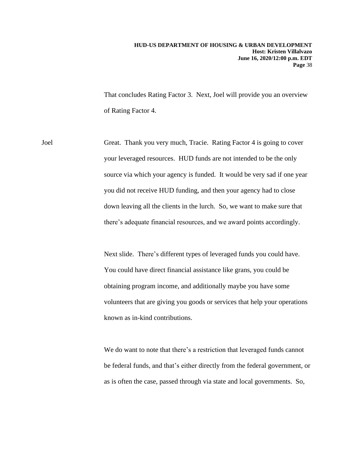That concludes Rating Factor 3. Next, Joel will provide you an overview of Rating Factor 4.

Joel Great. Thank you very much, Tracie. Rating Factor 4 is going to cover your leveraged resources. HUD funds are not intended to be the only source via which your agency is funded. It would be very sad if one year you did not receive HUD funding, and then your agency had to close down leaving all the clients in the lurch. So, we want to make sure that there's adequate financial resources, and we award points accordingly.

> Next slide. There's different types of leveraged funds you could have. You could have direct financial assistance like grans, you could be obtaining program income, and additionally maybe you have some volunteers that are giving you goods or services that help your operations known as in-kind contributions.

We do want to note that there's a restriction that leveraged funds cannot be federal funds, and that's either directly from the federal government, or as is often the case, passed through via state and local governments. So,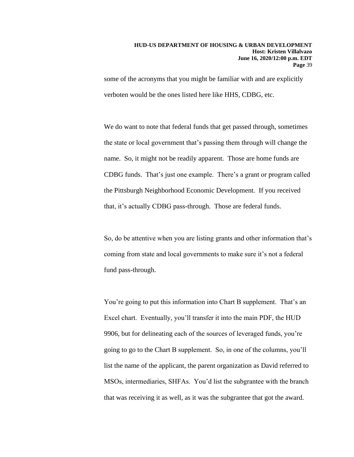some of the acronyms that you might be familiar with and are explicitly verboten would be the ones listed here like HHS, CDBG, etc.

We do want to note that federal funds that get passed through, sometimes the state or local government that's passing them through will change the name. So, it might not be readily apparent. Those are home funds are CDBG funds. That's just one example. There's a grant or program called the Pittsburgh Neighborhood Economic Development. If you received that, it's actually CDBG pass-through. Those are federal funds.

So, do be attentive when you are listing grants and other information that's coming from state and local governments to make sure it's not a federal fund pass-through.

You're going to put this information into Chart B supplement. That's an Excel chart. Eventually, you'll transfer it into the main PDF, the HUD 9906, but for delineating each of the sources of leveraged funds, you're going to go to the Chart B supplement. So, in one of the columns, you'll list the name of the applicant, the parent organization as David referred to MSOs, intermediaries, SHFAs. You'd list the subgrantee with the branch that was receiving it as well, as it was the subgrantee that got the award.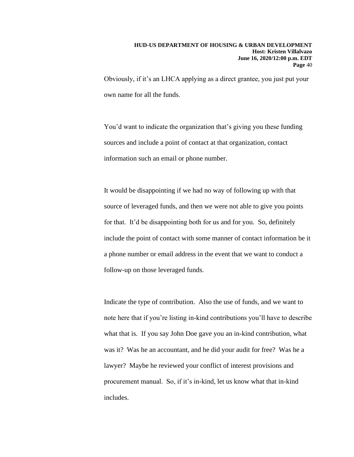Obviously, if it's an LHCA applying as a direct grantee, you just put your own name for all the funds.

You'd want to indicate the organization that's giving you these funding sources and include a point of contact at that organization, contact information such an email or phone number.

It would be disappointing if we had no way of following up with that source of leveraged funds, and then we were not able to give you points for that. It'd be disappointing both for us and for you. So, definitely include the point of contact with some manner of contact information be it a phone number or email address in the event that we want to conduct a follow-up on those leveraged funds.

Indicate the type of contribution. Also the use of funds, and we want to note here that if you're listing in-kind contributions you'll have to describe what that is. If you say John Doe gave you an in-kind contribution, what was it? Was he an accountant, and he did your audit for free? Was he a lawyer? Maybe he reviewed your conflict of interest provisions and procurement manual. So, if it's in-kind, let us know what that in-kind includes.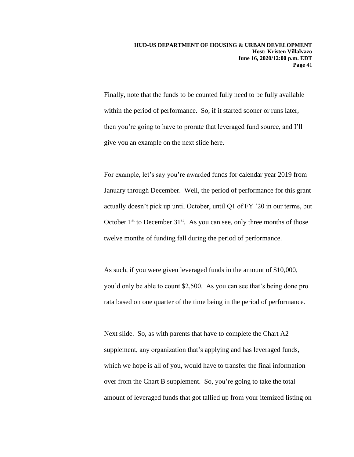Finally, note that the funds to be counted fully need to be fully available within the period of performance. So, if it started sooner or runs later, then you're going to have to prorate that leveraged fund source, and I'll give you an example on the next slide here.

For example, let's say you're awarded funds for calendar year 2019 from January through December. Well, the period of performance for this grant actually doesn't pick up until October, until Q1 of FY '20 in our terms, but October  $1<sup>st</sup>$  to December  $31<sup>st</sup>$ . As you can see, only three months of those twelve months of funding fall during the period of performance.

As such, if you were given leveraged funds in the amount of \$10,000, you'd only be able to count \$2,500. As you can see that's being done pro rata based on one quarter of the time being in the period of performance.

Next slide. So, as with parents that have to complete the Chart A2 supplement, any organization that's applying and has leveraged funds, which we hope is all of you, would have to transfer the final information over from the Chart B supplement. So, you're going to take the total amount of leveraged funds that got tallied up from your itemized listing on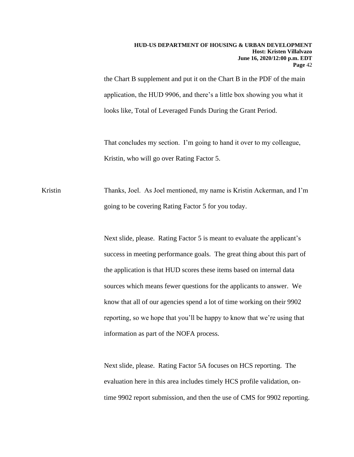the Chart B supplement and put it on the Chart B in the PDF of the main application, the HUD 9906, and there's a little box showing you what it looks like, Total of Leveraged Funds During the Grant Period.

That concludes my section. I'm going to hand it over to my colleague, Kristin, who will go over Rating Factor 5.

Kristin Thanks, Joel. As Joel mentioned, my name is Kristin Ackerman, and I'm going to be covering Rating Factor 5 for you today.

> Next slide, please. Rating Factor 5 is meant to evaluate the applicant's success in meeting performance goals. The great thing about this part of the application is that HUD scores these items based on internal data sources which means fewer questions for the applicants to answer. We know that all of our agencies spend a lot of time working on their 9902 reporting, so we hope that you'll be happy to know that we're using that information as part of the NOFA process.

Next slide, please. Rating Factor 5A focuses on HCS reporting. The evaluation here in this area includes timely HCS profile validation, ontime 9902 report submission, and then the use of CMS for 9902 reporting.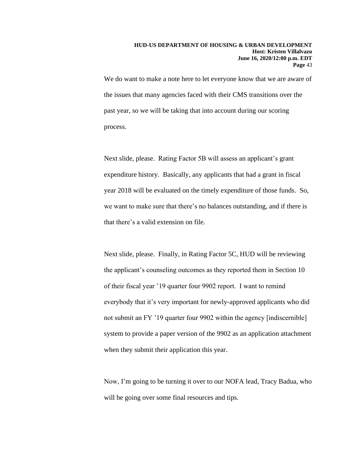We do want to make a note here to let everyone know that we are aware of the issues that many agencies faced with their CMS transitions over the past year, so we will be taking that into account during our scoring process.

Next slide, please. Rating Factor 5B will assess an applicant's grant expenditure history. Basically, any applicants that had a grant in fiscal year 2018 will be evaluated on the timely expenditure of those funds. So, we want to make sure that there's no balances outstanding, and if there is that there's a valid extension on file.

Next slide, please. Finally, in Rating Factor 5C, HUD will be reviewing the applicant's counseling outcomes as they reported them in Section 10 of their fiscal year '19 quarter four 9902 report. I want to remind everybody that it's very important for newly-approved applicants who did not submit an FY '19 quarter four 9902 within the agency [indiscernible] system to provide a paper version of the 9902 as an application attachment when they submit their application this year.

Now, I'm going to be turning it over to our NOFA lead, Tracy Badua, who will be going over some final resources and tips.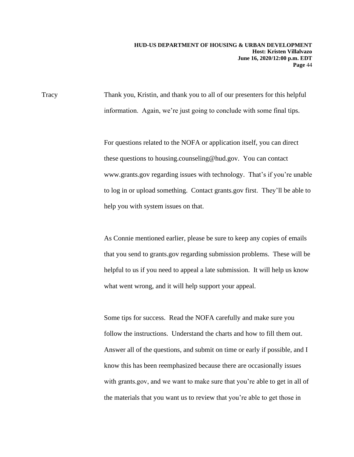Tracy Thank you, Kristin, and thank you to all of our presenters for this helpful information. Again, we're just going to conclude with some final tips.

> For questions related to the NOFA or application itself, you can direct these questions to housing.counseling@hud.gov. You can contact www.grants.gov regarding issues with technology. That's if you're unable to log in or upload something. Contact grants.gov first. They'll be able to help you with system issues on that.

> As Connie mentioned earlier, please be sure to keep any copies of emails that you send to grants.gov regarding submission problems. These will be helpful to us if you need to appeal a late submission. It will help us know what went wrong, and it will help support your appeal.

> Some tips for success. Read the NOFA carefully and make sure you follow the instructions. Understand the charts and how to fill them out. Answer all of the questions, and submit on time or early if possible, and I know this has been reemphasized because there are occasionally issues with grants.gov, and we want to make sure that you're able to get in all of the materials that you want us to review that you're able to get those in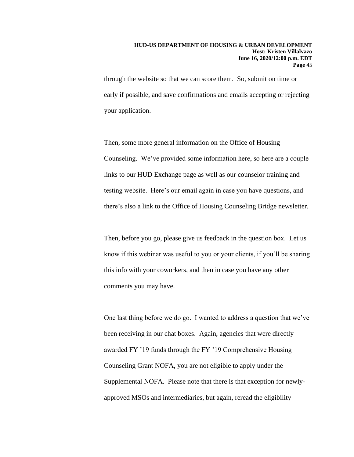through the website so that we can score them. So, submit on time or early if possible, and save confirmations and emails accepting or rejecting your application.

Then, some more general information on the Office of Housing Counseling. We've provided some information here, so here are a couple links to our HUD Exchange page as well as our counselor training and testing website. Here's our email again in case you have questions, and there's also a link to the Office of Housing Counseling Bridge newsletter.

Then, before you go, please give us feedback in the question box. Let us know if this webinar was useful to you or your clients, if you'll be sharing this info with your coworkers, and then in case you have any other comments you may have.

One last thing before we do go. I wanted to address a question that we've been receiving in our chat boxes. Again, agencies that were directly awarded FY '19 funds through the FY '19 Comprehensive Housing Counseling Grant NOFA, you are not eligible to apply under the Supplemental NOFA. Please note that there is that exception for newlyapproved MSOs and intermediaries, but again, reread the eligibility